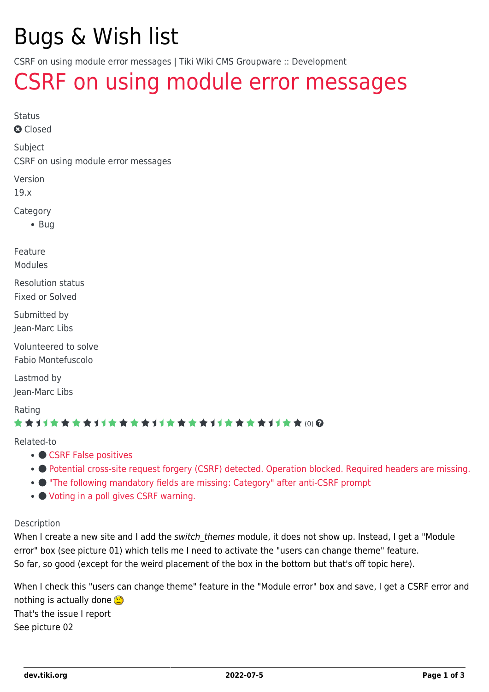# Bugs & Wish list

CSRF on using module error messages | Tiki Wiki CMS Groupware :: Development

# [CSRF on using module error messages](https://dev.tiki.org/item6941-CSRF-on-using-module-error-messages)

Status

**a** Closed

Subject

CSRF on using module error messages

Version

19.x

Category

 $\bullet$  Bug

Feature

Modules

Resolution status Fixed or Solved

Submitted by Jean-Marc Libs

Volunteered to solve Fabio Montefuscolo

Lastmod by Jean-Marc Libs

Rating

### \*\*\*\*\*\*\*\*\*\*\*\*\*\*\*\*\*\*\*\*\*\*\*\*\*\*\*\*\*\*

#### Related-to

- [CSRF False positives](https://dev.tiki.org/item7133-CSRF-False-positives)
- [Potential cross-site request forgery \(CSRF\) detected. Operation blocked. Required headers are missing.](https://dev.tiki.org/item7633-Potential-cross-site-request-forgery-CSRF-detected-Operation-blocked-Required-headers-are-missing)
- ["The following mandatory fields are missing: Category" after anti-CSRF prompt](https://dev.tiki.org/item6926--The-following-mandatory-fields-are-missing-Category-after-anti-CSRF-prompt)
- $\bullet$  [Voting in a poll gives CSRF warning.](https://dev.tiki.org/item7350-Voting-in-a-poll-gives-CSRF-warning)

#### Description

When I create a new site and I add the switch themes module, it does not show up. Instead, I get a "Module error" box (see picture 01) which tells me I need to activate the "users can change theme" feature. So far, so good (except for the weird placement of the box in the bottom but that's off topic here).

When I check this "users can change theme" feature in the "Module error" box and save, I get a CSRF error and nothing is actually done  $\circledR$ That's the issue I report See picture 02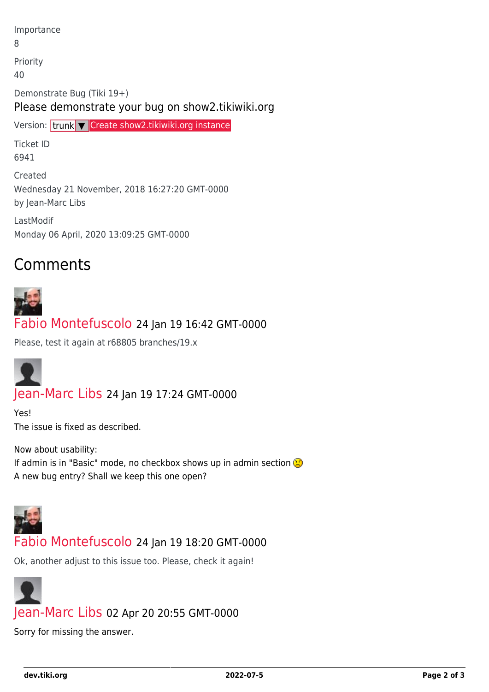Importance 8 Priority 40 Demonstrate Bug (Tiki 19+)

### Please demonstrate your bug on show2.tikiwiki.org

Version: trunk ▼ [Create show2.tikiwiki.org instance](#page--1-0)

Ticket ID 6941

Created Wednesday 21 November, 2018 16:27:20 GMT-0000 by Jean-Marc Libs

LastModif Monday 06 April, 2020 13:09:25 GMT-0000

# Comments



## [Fabio Montefuscolo](https://dev.tiki.org/user11849) 24 Jan 19 16:42 GMT-0000

Please, test it again at r68805 branches/19.x



## [Jean-Marc Libs](https://dev.tiki.org/user9952) 24 Jan 19 17:24 GMT-0000

Yes! The issue is fixed as described.

Now about usability: If admin is in "Basic" mode, no checkbox shows up in admin section A new bug entry? Shall we keep this one open?



### [Fabio Montefuscolo](https://dev.tiki.org/user11849) 24 Jan 19 18:20 GMT-0000

Ok, another adjust to this issue too. Please, check it again!



Sorry for missing the answer.